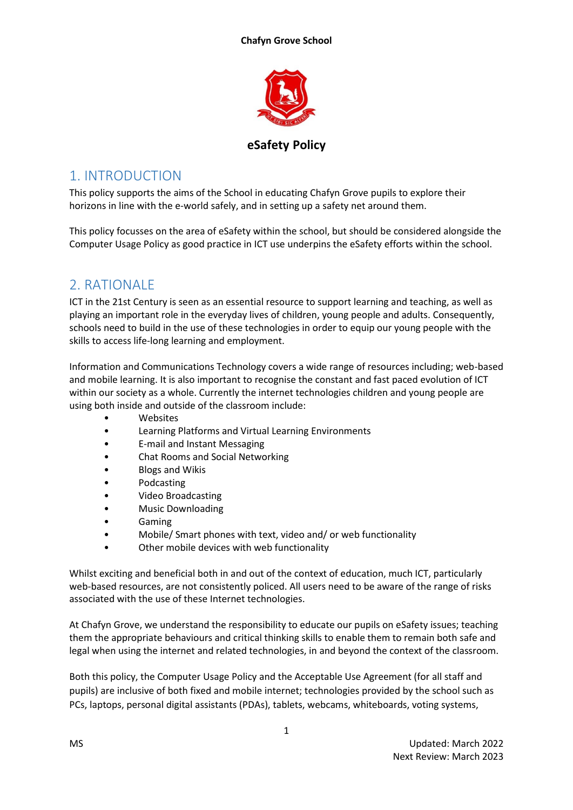**Chafyn Grove School**



**eSafety Policy**

# 1. INTRODUCTION

This policy supports the aims of the School in educating Chafyn Grove pupils to explore their horizons in line with the e-world safely, and in setting up a safety net around them.

This policy focusses on the area of eSafety within the school, but should be considered alongside the Computer Usage Policy as good practice in ICT use underpins the eSafety efforts within the school.

# 2. RATIONALE

ICT in the 21st Century is seen as an essential resource to support learning and teaching, as well as playing an important role in the everyday lives of children, young people and adults. Consequently, schools need to build in the use of these technologies in order to equip our young people with the skills to access life-long learning and employment.

Information and Communications Technology covers a wide range of resources including; web-based and mobile learning. It is also important to recognise the constant and fast paced evolution of ICT within our society as a whole. Currently the internet technologies children and young people are using both inside and outside of the classroom include:

- **Websites**
- Learning Platforms and Virtual Learning Environments
- E-mail and Instant Messaging
- Chat Rooms and Social Networking
- Blogs and Wikis
- Podcasting
- Video Broadcasting
- Music Downloading
- Gaming
- Mobile/ Smart phones with text, video and/ or web functionality
- Other mobile devices with web functionality

Whilst exciting and beneficial both in and out of the context of education, much ICT, particularly web-based resources, are not consistently policed. All users need to be aware of the range of risks associated with the use of these Internet technologies.

At Chafyn Grove, we understand the responsibility to educate our pupils on eSafety issues; teaching them the appropriate behaviours and critical thinking skills to enable them to remain both safe and legal when using the internet and related technologies, in and beyond the context of the classroom.

Both this policy, the Computer Usage Policy and the Acceptable Use Agreement (for all staff and pupils) are inclusive of both fixed and mobile internet; technologies provided by the school such as PCs, laptops, personal digital assistants (PDAs), tablets, webcams, whiteboards, voting systems,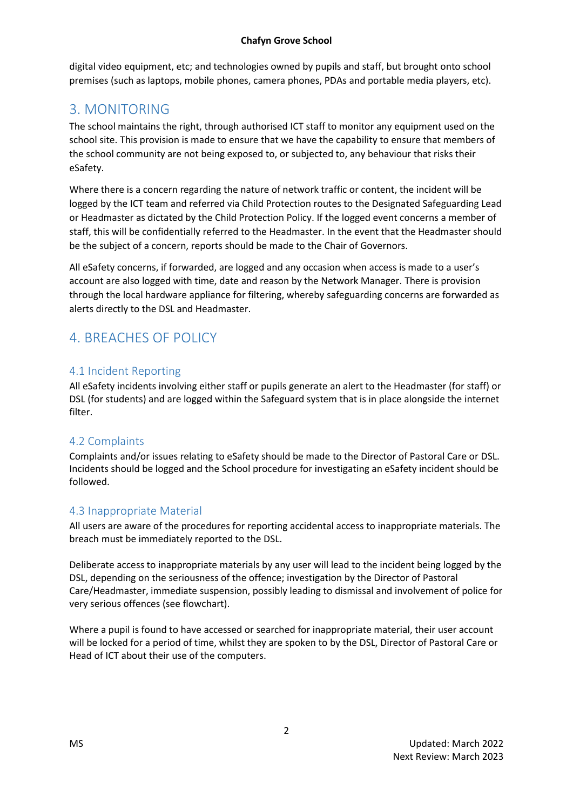digital video equipment, etc; and technologies owned by pupils and staff, but brought onto school premises (such as laptops, mobile phones, camera phones, PDAs and portable media players, etc).

# 3. MONITORING

The school maintains the right, through authorised ICT staff to monitor any equipment used on the school site. This provision is made to ensure that we have the capability to ensure that members of the school community are not being exposed to, or subjected to, any behaviour that risks their eSafety.

Where there is a concern regarding the nature of network traffic or content, the incident will be logged by the ICT team and referred via Child Protection routes to the Designated Safeguarding Lead or Headmaster as dictated by the Child Protection Policy. If the logged event concerns a member of staff, this will be confidentially referred to the Headmaster. In the event that the Headmaster should be the subject of a concern, reports should be made to the Chair of Governors.

All eSafety concerns, if forwarded, are logged and any occasion when access is made to a user's account are also logged with time, date and reason by the Network Manager. There is provision through the local hardware appliance for filtering, whereby safeguarding concerns are forwarded as alerts directly to the DSL and Headmaster.

# 4. BREACHES OF POLICY

## 4.1 Incident Reporting

All eSafety incidents involving either staff or pupils generate an alert to the Headmaster (for staff) or DSL (for students) and are logged within the Safeguard system that is in place alongside the internet filter.

## 4.2 Complaints

Complaints and/or issues relating to eSafety should be made to the Director of Pastoral Care or DSL. Incidents should be logged and the School procedure for investigating an eSafety incident should be followed.

## 4.3 Inappropriate Material

All users are aware of the procedures for reporting accidental access to inappropriate materials. The breach must be immediately reported to the DSL.

Deliberate access to inappropriate materials by any user will lead to the incident being logged by the DSL, depending on the seriousness of the offence; investigation by the Director of Pastoral Care/Headmaster, immediate suspension, possibly leading to dismissal and involvement of police for very serious offences (see flowchart).

Where a pupil is found to have accessed or searched for inappropriate material, their user account will be locked for a period of time, whilst they are spoken to by the DSL, Director of Pastoral Care or Head of ICT about their use of the computers.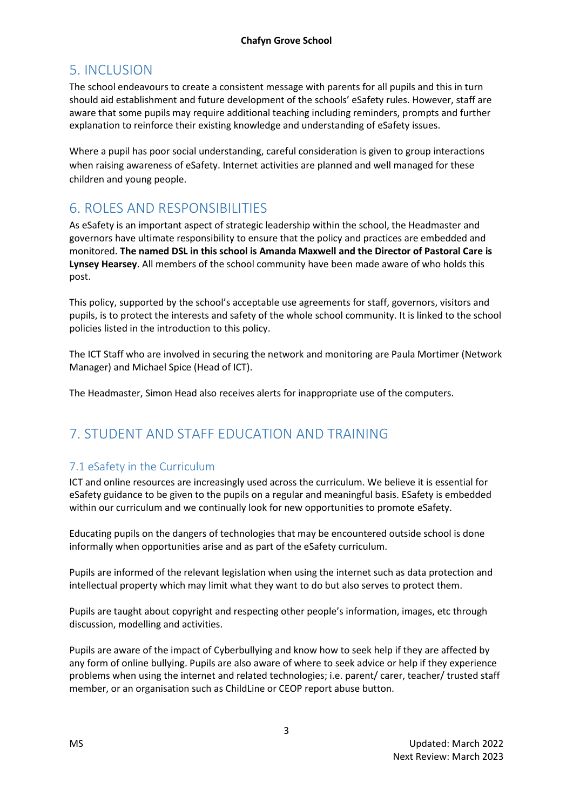# 5. INCLUSION

The school endeavours to create a consistent message with parents for all pupils and this in turn should aid establishment and future development of the schools' eSafety rules. However, staff are aware that some pupils may require additional teaching including reminders, prompts and further explanation to reinforce their existing knowledge and understanding of eSafety issues.

Where a pupil has poor social understanding, careful consideration is given to group interactions when raising awareness of eSafety. Internet activities are planned and well managed for these children and young people.

# 6. ROLES AND RESPONSIBILITIES

As eSafety is an important aspect of strategic leadership within the school, the Headmaster and governors have ultimate responsibility to ensure that the policy and practices are embedded and monitored. **The named DSL in this school is Amanda Maxwell and the Director of Pastoral Care is Lynsey Hearsey**. All members of the school community have been made aware of who holds this post.

This policy, supported by the school's acceptable use agreements for staff, governors, visitors and pupils, is to protect the interests and safety of the whole school community. It is linked to the school policies listed in the introduction to this policy.

The ICT Staff who are involved in securing the network and monitoring are Paula Mortimer (Network Manager) and Michael Spice (Head of ICT).

The Headmaster, Simon Head also receives alerts for inappropriate use of the computers.

# 7. STUDENT AND STAFF EDUCATION AND TRAINING

## 7.1 eSafety in the Curriculum

ICT and online resources are increasingly used across the curriculum. We believe it is essential for eSafety guidance to be given to the pupils on a regular and meaningful basis. ESafety is embedded within our curriculum and we continually look for new opportunities to promote eSafety.

Educating pupils on the dangers of technologies that may be encountered outside school is done informally when opportunities arise and as part of the eSafety curriculum.

Pupils are informed of the relevant legislation when using the internet such as data protection and intellectual property which may limit what they want to do but also serves to protect them.

Pupils are taught about copyright and respecting other people's information, images, etc through discussion, modelling and activities.

Pupils are aware of the impact of Cyberbullying and know how to seek help if they are affected by any form of online bullying. Pupils are also aware of where to seek advice or help if they experience problems when using the internet and related technologies; i.e. parent/ carer, teacher/ trusted staff member, or an organisation such as ChildLine or CEOP report abuse button.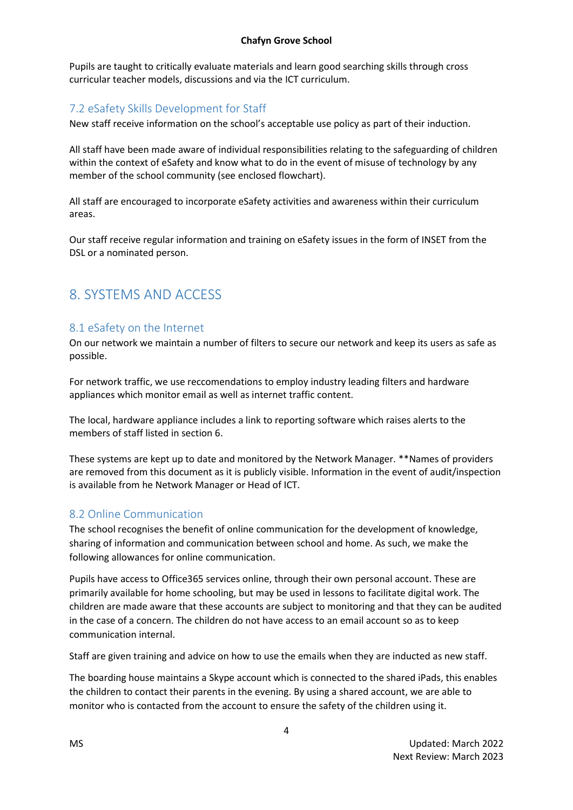Pupils are taught to critically evaluate materials and learn good searching skills through cross curricular teacher models, discussions and via the ICT curriculum.

## 7.2 eSafety Skills Development for Staff

New staff receive information on the school's acceptable use policy as part of their induction.

All staff have been made aware of individual responsibilities relating to the safeguarding of children within the context of eSafety and know what to do in the event of misuse of technology by any member of the school community (see enclosed flowchart).

All staff are encouraged to incorporate eSafety activities and awareness within their curriculum areas.

Our staff receive regular information and training on eSafety issues in the form of INSET from the DSL or a nominated person.

# 8. SYSTEMS AND ACCESS

### 8.1 eSafety on the Internet

On our network we maintain a number of filters to secure our network and keep its users as safe as possible.

For network traffic, we use reccomendations to employ industry leading filters and hardware appliances which monitor email as well as internet traffic content.

The local, hardware appliance includes a link to reporting software which raises alerts to the members of staff listed in section 6.

These systems are kept up to date and monitored by the Network Manager. \*\*Names of providers are removed from this document as it is publicly visible. Information in the event of audit/inspection is available from he Network Manager or Head of ICT.

### 8.2 Online Communication

The school recognises the benefit of online communication for the development of knowledge, sharing of information and communication between school and home. As such, we make the following allowances for online communication.

Pupils have access to Office365 services online, through their own personal account. These are primarily available for home schooling, but may be used in lessons to facilitate digital work. The children are made aware that these accounts are subject to monitoring and that they can be audited in the case of a concern. The children do not have access to an email account so as to keep communication internal.

Staff are given training and advice on how to use the emails when they are inducted as new staff.

The boarding house maintains a Skype account which is connected to the shared iPads, this enables the children to contact their parents in the evening. By using a shared account, we are able to monitor who is contacted from the account to ensure the safety of the children using it.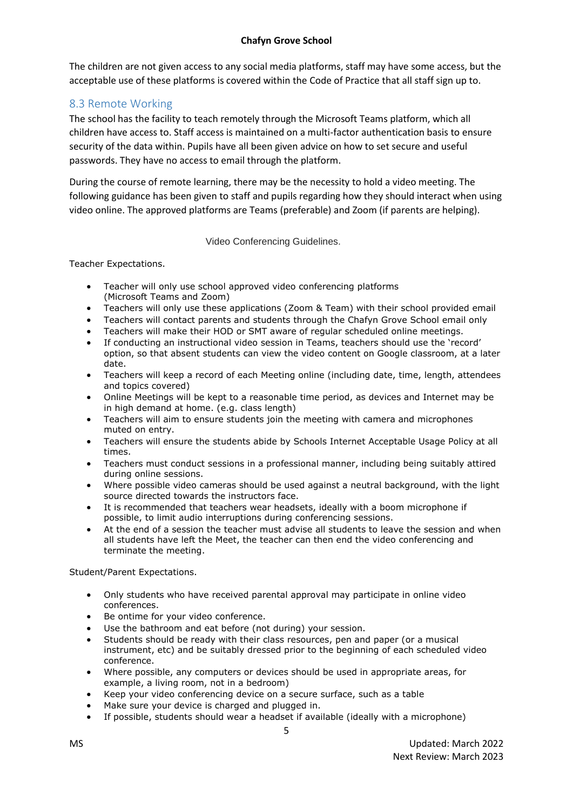#### **Chafyn Grove School**

The children are not given access to any social media platforms, staff may have some access, but the acceptable use of these platforms is covered within the Code of Practice that all staff sign up to.

### 8.3 Remote Working

The school has the facility to teach remotely through the Microsoft Teams platform, which all children have access to. Staff access is maintained on a multi-factor authentication basis to ensure security of the data within. Pupils have all been given advice on how to set secure and useful passwords. They have no access to email through the platform.

During the course of remote learning, there may be the necessity to hold a video meeting. The following guidance has been given to staff and pupils regarding how they should interact when using video online. The approved platforms are Teams (preferable) and Zoom (if parents are helping).

Video Conferencing Guidelines.

Teacher Expectations.

- Teacher will only use school approved video conferencing platforms (Microsoft Teams and Zoom)
- Teachers will only use these applications (Zoom & Team) with their school provided email
- Teachers will contact parents and students through the Chafyn Grove School email only
- Teachers will make their HOD or SMT aware of regular scheduled online meetings.
- If conducting an instructional video session in Teams, teachers should use the 'record' option, so that absent students can view the video content on Google classroom, at a later date.
- Teachers will keep a record of each Meeting online (including date, time, length, attendees and topics covered)
- Online Meetings will be kept to a reasonable time period, as devices and Internet may be in high demand at home. (e.g. class length)
- Teachers will aim to ensure students join the meeting with camera and microphones muted on entry.
- Teachers will ensure the students abide by Schools Internet Acceptable Usage Policy at all times.
- Teachers must conduct sessions in a professional manner, including being suitably attired during online sessions.
- Where possible video cameras should be used against a neutral background, with the light source directed towards the instructors face.
- It is recommended that teachers wear headsets, ideally with a boom microphone if possible, to limit audio interruptions during conferencing sessions.
- At the end of a session the teacher must advise all students to leave the session and when all students have left the Meet, the teacher can then end the video conferencing and terminate the meeting.

Student/Parent Expectations.

- Only students who have received parental approval may participate in online video conferences.
- Be ontime for your video conference.
- Use the bathroom and eat before (not during) your session.
- Students should be ready with their class resources, pen and paper (or a musical instrument, etc) and be suitably dressed prior to the beginning of each scheduled video conference.
- Where possible, any computers or devices should be used in appropriate areas, for example, a living room, not in a bedroom)
- Keep your video conferencing device on a secure surface, such as a table
- Make sure your device is charged and plugged in.
- If possible, students should wear a headset if available (ideally with a microphone)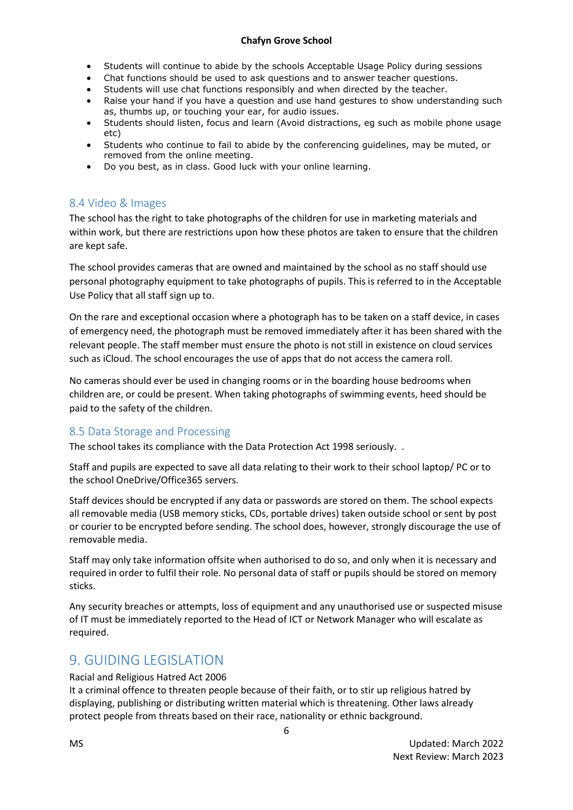#### **Chafyn Grove School**

- Students will continue to abide by the schools Acceptable Usage Policy during sessions
- Chat functions should be used to ask questions and to answer teacher questions.
- Students will use chat functions responsibly and when directed by the teacher.
- Raise your hand if you have a question and use hand gestures to show understanding such as, thumbs up, or touching your ear, for audio issues.
- Students should listen, focus and learn (Avoid distractions, eg such as mobile phone usage etc)
- Students who continue to fail to abide by the conferencing guidelines, may be muted, or removed from the online meeting.
- Do you best, as in class. Good luck with your online learning.

### 8.4 Video & Images

The school has the right to take photographs of the children for use in marketing materials and within work, but there are restrictions upon how these photos are taken to ensure that the children are kept safe.

The school provides cameras that are owned and maintained by the school as no staff should use personal photography equipment to take photographs of pupils. This is referred to in the Acceptable Use Policy that all staff sign up to.

On the rare and exceptional occasion where a photograph has to be taken on a staff device, in cases of emergency need, the photograph must be removed immediately after it has been shared with the relevant people. The staff member must ensure the photo is not still in existence on cloud services such as iCloud. The school encourages the use of apps that do not access the camera roll.

No cameras should ever be used in changing rooms or in the boarding house bedrooms when children are, or could be present. When taking photographs of swimming events, heed should be paid to the safety of the children.

### 8.5 Data Storage and Processing

The school takes its compliance with the Data Protection Act 1998 seriously. .

Staff and pupils are expected to save all data relating to their work to their school laptop/ PC or to the school OneDrive/Office365 servers.

Staff devices should be encrypted if any data or passwords are stored on them. The school expects all removable media (USB memory sticks, CDs, portable drives) taken outside school or sent by post or courier to be encrypted before sending. The school does, however, strongly discourage the use of removable media.

Staff may only take information offsite when authorised to do so, and only when it is necessary and required in order to fulfil their role. No personal data of staff or pupils should be stored on memory sticks.

Any security breaches or attempts, loss of equipment and any unauthorised use or suspected misuse of IT must be immediately reported to the Head of ICT or Network Manager who will escalate as required.

## 9. GUIDING LEGISLATION

#### Racial and Religious Hatred Act 2006

It a criminal offence to threaten people because of their faith, or to stir up religious hatred by displaying, publishing or distributing written material which is threatening. Other laws already protect people from threats based on their race, nationality or ethnic background.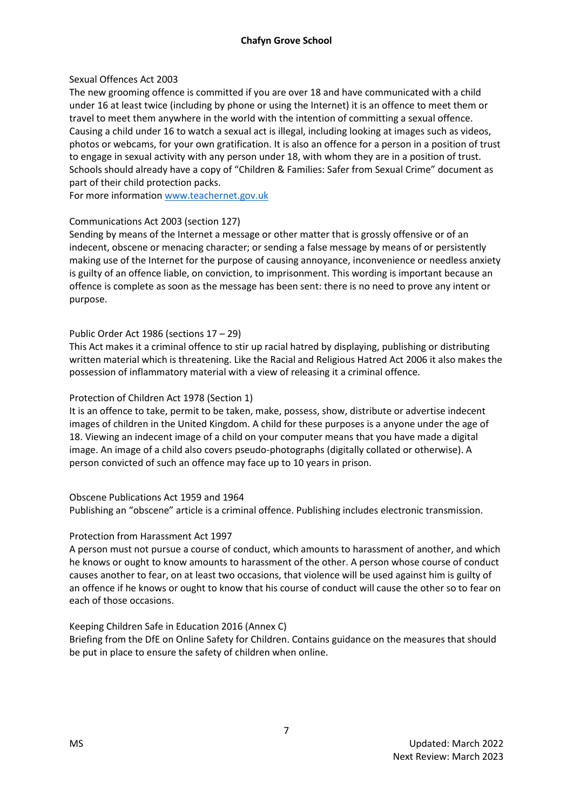#### Sexual Offences Act 2003

The new grooming offence is committed if you are over 18 and have communicated with a child under 16 at least twice (including by phone or using the Internet) it is an offence to meet them or travel to meet them anywhere in the world with the intention of committing a sexual offence. Causing a child under 16 to watch a sexual act is illegal, including looking at images such as videos, photos or webcams, for your own gratification. It is also an offence for a person in a position of trust to engage in sexual activity with any person under 18, with whom they are in a position of trust. Schools should already have a copy of "Children & Families: Safer from Sexual Crime" document as part of their child protection packs.

For more information [www.teachernet.gov.uk](http://www.teachernet.gov.uk/)

### Communications Act 2003 (section 127)

Sending by means of the Internet a message or other matter that is grossly offensive or of an indecent, obscene or menacing character; or sending a false message by means of or persistently making use of the Internet for the purpose of causing annoyance, inconvenience or needless anxiety is guilty of an offence liable, on conviction, to imprisonment. This wording is important because an offence is complete as soon as the message has been sent: there is no need to prove any intent or purpose.

#### Public Order Act 1986 (sections 17 – 29)

This Act makes it a criminal offence to stir up racial hatred by displaying, publishing or distributing written material which is threatening. Like the Racial and Religious Hatred Act 2006 it also makes the possession of inflammatory material with a view of releasing it a criminal offence.

#### Protection of Children Act 1978 (Section 1)

It is an offence to take, permit to be taken, make, possess, show, distribute or advertise indecent images of children in the United Kingdom. A child for these purposes is a anyone under the age of 18. Viewing an indecent image of a child on your computer means that you have made a digital image. An image of a child also covers pseudo-photographs (digitally collated or otherwise). A person convicted of such an offence may face up to 10 years in prison.

#### Obscene Publications Act 1959 and 1964

Publishing an "obscene" article is a criminal offence. Publishing includes electronic transmission.

#### Protection from Harassment Act 1997

A person must not pursue a course of conduct, which amounts to harassment of another, and which he knows or ought to know amounts to harassment of the other. A person whose course of conduct causes another to fear, on at least two occasions, that violence will be used against him is guilty of an offence if he knows or ought to know that his course of conduct will cause the other so to fear on each of those occasions.

### Keeping Children Safe in Education 2016 (Annex C)

Briefing from the DfE on Online Safety for Children. Contains guidance on the measures that should be put in place to ensure the safety of children when online.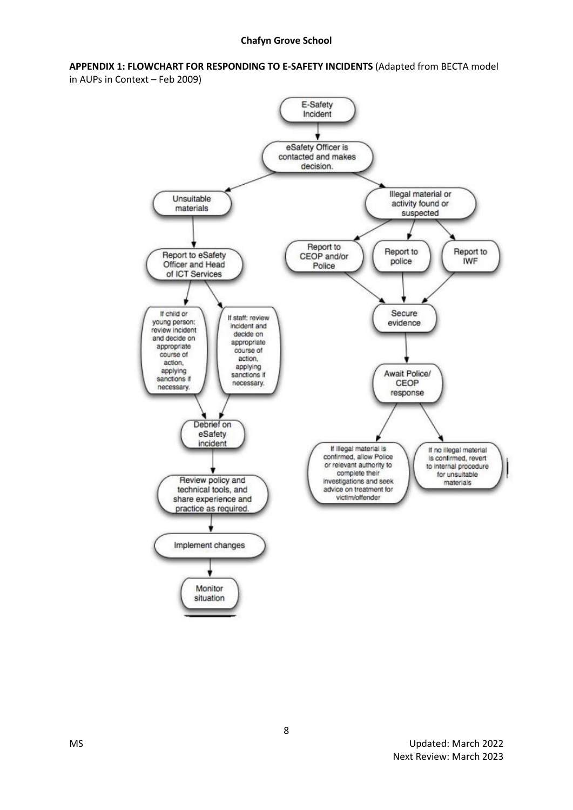**APPENDIX 1: FLOWCHART FOR RESPONDING TO E-SAFETY INCIDENTS** (Adapted from BECTA model in AUPs in Context – Feb 2009)